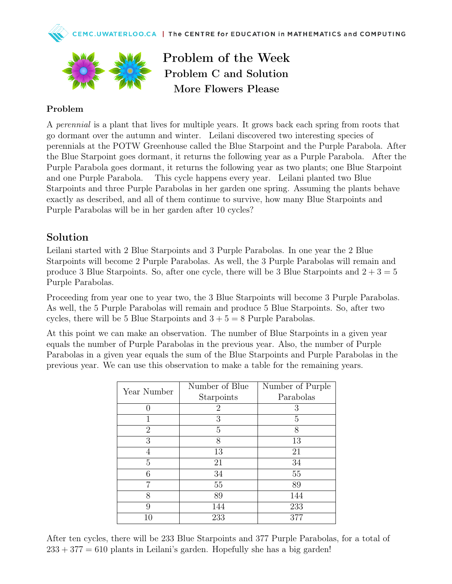



Problem of the Week Problem C and Solution More Flowers Please

## Problem

A perennial is a plant that lives for multiple years. It grows back each spring from roots that go dormant over the autumn and winter. Leilani discovered two interesting species of perennials at the POTW Greenhouse called the Blue Starpoint and the Purple Parabola. After the Blue Starpoint goes dormant, it returns the following year as a Purple Parabola. After the Purple Parabola goes dormant, it returns the following year as two plants; one Blue Starpoint and one Purple Parabola. This cycle happens every year. Leilani planted two Blue Starpoints and three Purple Parabolas in her garden one spring. Assuming the plants behave exactly as described, and all of them continue to survive, how many Blue Starpoints and Purple Parabolas will be in her garden after 10 cycles?

## Solution

Leilani started with 2 Blue Starpoints and 3 Purple Parabolas. In one year the 2 Blue Starpoints will become 2 Purple Parabolas. As well, the 3 Purple Parabolas will remain and produce 3 Blue Starpoints. So, after one cycle, there will be 3 Blue Starpoints and  $2 + 3 = 5$ Purple Parabolas.

Proceeding from year one to year two, the 3 Blue Starpoints will become 3 Purple Parabolas. As well, the 5 Purple Parabolas will remain and produce 5 Blue Starpoints. So, after two cycles, there will be 5 Blue Starpoints and  $3 + 5 = 8$  Purple Parabolas.

At this point we can make an observation. The number of Blue Starpoints in a given year equals the number of Purple Parabolas in the previous year. Also, the number of Purple Parabolas in a given year equals the sum of the Blue Starpoints and Purple Parabolas in the previous year. We can use this observation to make a table for the remaining years.

| Year Number    | Number of Blue | Number of Purple |
|----------------|----------------|------------------|
|                | Starpoints     | Parabolas        |
|                | $\overline{2}$ | 3                |
|                | 3              | 5                |
| $\overline{2}$ | 5              | 8                |
| 3              | 8              | 13               |
|                | 13             | 21               |
| 5              | 21             | 34               |
| 6              | 34             | 55               |
| 7              | 55             | 89               |
| 8              | 89             | 144              |
| 9              | 144            | 233              |
| 10             | 233            | 377              |

After ten cycles, there will be 233 Blue Starpoints and 377 Purple Parabolas, for a total of  $233 + 377 = 610$  plants in Leilani's garden. Hopefully she has a big garden!